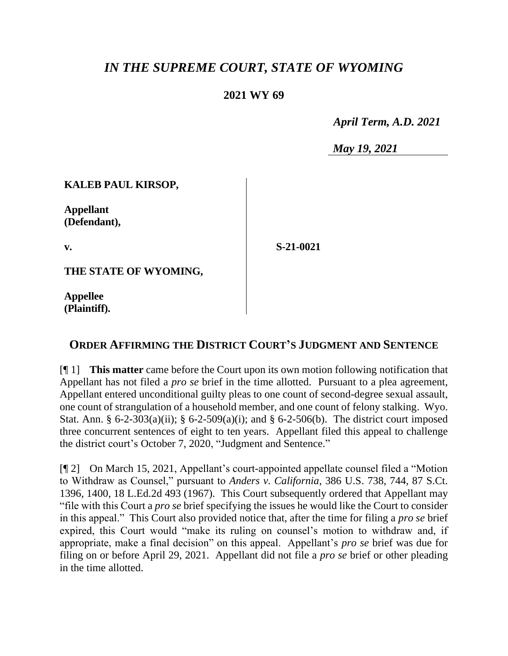# *IN THE SUPREME COURT, STATE OF WYOMING*

### **2021 WY 69**

 *April Term, A.D. 2021*

*May 19, 2021*

#### **KALEB PAUL KIRSOP,**

**Appellant (Defendant),**

**v.**

**S-21-0021**

**THE STATE OF WYOMING,**

**Appellee (Plaintiff).**

## **ORDER AFFIRMING THE DISTRICT COURT'S JUDGMENT AND SENTENCE**

[¶ 1] **This matter** came before the Court upon its own motion following notification that Appellant has not filed a *pro se* brief in the time allotted. Pursuant to a plea agreement, Appellant entered unconditional guilty pleas to one count of second-degree sexual assault, one count of strangulation of a household member, and one count of felony stalking. Wyo. Stat. Ann. § 6-2-303(a)(ii); § 6-2-509(a)(i); and § 6-2-506(b). The district court imposed three concurrent sentences of eight to ten years. Appellant filed this appeal to challenge the district court's October 7, 2020, "Judgment and Sentence."

[¶ 2] On March 15, 2021, Appellant's court-appointed appellate counsel filed a "Motion to Withdraw as Counsel," pursuant to *Anders v. California*, 386 U.S. 738, 744, 87 S.Ct. 1396, 1400, 18 L.Ed.2d 493 (1967). This Court subsequently ordered that Appellant may "file with this Court a *pro se* brief specifying the issues he would like the Court to consider in this appeal." This Court also provided notice that, after the time for filing a *pro se* brief expired, this Court would "make its ruling on counsel's motion to withdraw and, if appropriate, make a final decision" on this appeal. Appellant's *pro se* brief was due for filing on or before April 29, 2021. Appellant did not file a *pro se* brief or other pleading in the time allotted.